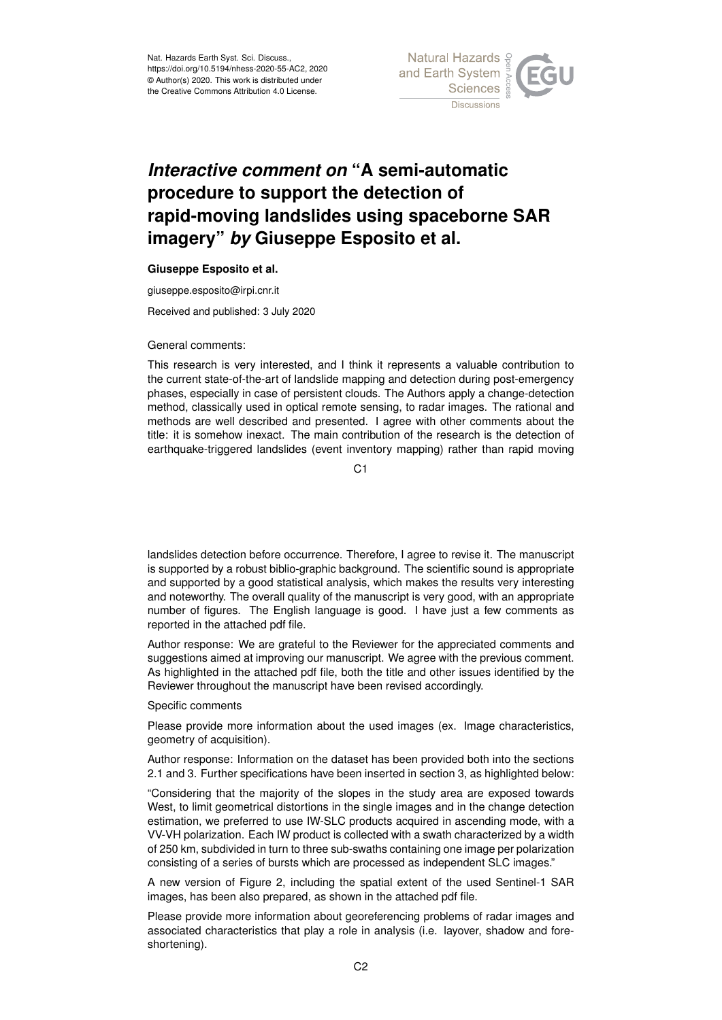

## *Interactive comment on* **"A semi-automatic procedure to support the detection of rapid-moving landslides using spaceborne SAR imagery"** *by* **Giuseppe Esposito et al.**

## **Giuseppe Esposito et al.**

giuseppe.esposito@irpi.cnr.it

Received and published: 3 July 2020

General comments:

This research is very interested, and I think it represents a valuable contribution to the current state-of-the-art of landslide mapping and detection during post-emergency phases, especially in case of persistent clouds. The Authors apply a change-detection method, classically used in optical remote sensing, to radar images. The rational and methods are well described and presented. I agree with other comments about the title: it is somehow inexact. The main contribution of the research is the detection of earthquake-triggered landslides (event inventory mapping) rather than rapid moving

C<sub>1</sub>

landslides detection before occurrence. Therefore, I agree to revise it. The manuscript is supported by a robust biblio-graphic background. The scientific sound is appropriate and supported by a good statistical analysis, which makes the results very interesting and noteworthy. The overall quality of the manuscript is very good, with an appropriate number of figures. The English language is good. I have just a few comments as reported in the attached pdf file.

Author response: We are grateful to the Reviewer for the appreciated comments and suggestions aimed at improving our manuscript. We agree with the previous comment. As highlighted in the attached pdf file, both the title and other issues identified by the Reviewer throughout the manuscript have been revised accordingly.

Specific comments

Please provide more information about the used images (ex. Image characteristics, geometry of acquisition).

Author response: Information on the dataset has been provided both into the sections 2.1 and 3. Further specifications have been inserted in section 3, as highlighted below:

"Considering that the majority of the slopes in the study area are exposed towards West, to limit geometrical distortions in the single images and in the change detection estimation, we preferred to use IW-SLC products acquired in ascending mode, with a VV-VH polarization. Each IW product is collected with a swath characterized by a width of 250 km, subdivided in turn to three sub-swaths containing one image per polarization consisting of a series of bursts which are processed as independent SLC images."

A new version of Figure 2, including the spatial extent of the used Sentinel-1 SAR images, has been also prepared, as shown in the attached pdf file.

Please provide more information about georeferencing problems of radar images and associated characteristics that play a role in analysis (i.e. layover, shadow and foreshortening).